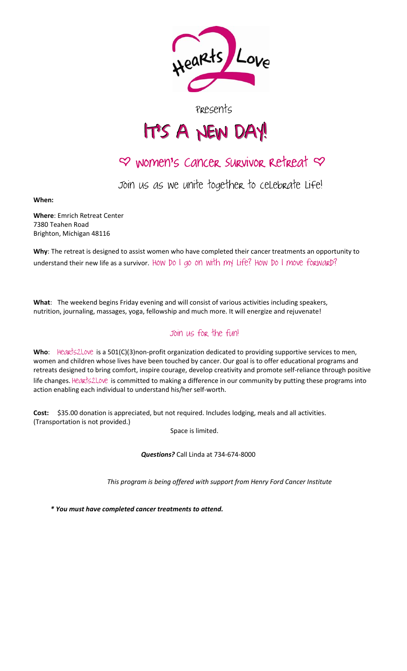

## Presents

## I IT'S A NEW DAY!

# $\varphi$  women's cancer survivor retreat  $\varphi$

Join us as we unite together to celebrate liFe!

When:

Where: Emrich Retreat Center 7380 Teahen Road Brighton, Michigan 48116

Why: The retreat is designed to assist women who have completed their cancer treatments an opportunity to understand their new life as a survivor. How Do I go on with my Life? How Do I move forward?

What: The weekend begins Friday evening and will consist of various activities including speakers, nutrition, journaling, massages, yoga, fellowship and much more. It will energize and rejuvenate!

### Join us for the fun!

Who: Hearts2Love is a 501(C)(3)non-profit organization dedicated to providing supportive services to men, women and children whose lives have been touched by cancer. Our goal is to offer educational programs and retreats designed to bring comfort, inspire courage, develop creativity and promote self‐reliance through positive life changes. Hearts2Love is committed to making a difference in our community by putting these programs into action enabling each individual to understand his/her self‐worth.

Cost: \$35.00 donation is appreciated, but not required. Includes lodging, meals and all activities. (Transportation is not provided.)

Space is limited.

Questions? Call Linda at 734-674-8000

This program is being offered with support from Henry Ford Cancer Institute

\* You must have completed cancer treatments to attend.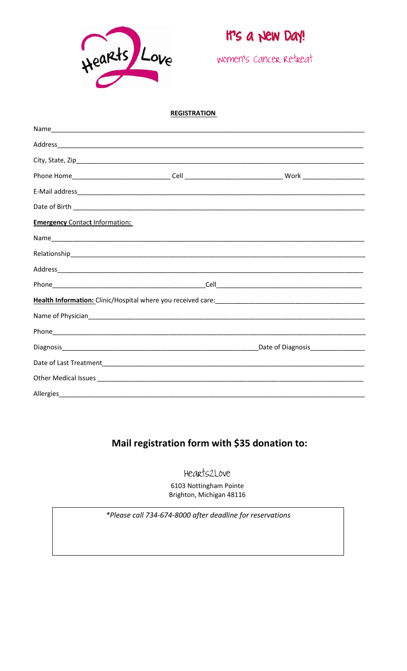

## It's a *New Day*!

women's cancer retreat

#### **REGISTRATION**

| <b>Emergency Contact Information:</b> |  |                                            |  |  |  |
|---------------------------------------|--|--------------------------------------------|--|--|--|
|                                       |  |                                            |  |  |  |
|                                       |  |                                            |  |  |  |
|                                       |  |                                            |  |  |  |
|                                       |  |                                            |  |  |  |
|                                       |  |                                            |  |  |  |
|                                       |  |                                            |  |  |  |
|                                       |  |                                            |  |  |  |
|                                       |  | Date of Diagnosis <b>Date of Diagnosis</b> |  |  |  |
|                                       |  |                                            |  |  |  |
|                                       |  |                                            |  |  |  |
| Allergies                             |  |                                            |  |  |  |

## Mail registration form with \$35 donation to:

Hearts2Love

6103 Nottingham Pointe Brighton, Michigan 48116

\*Please call 734-674-8000 after deadline for reservations